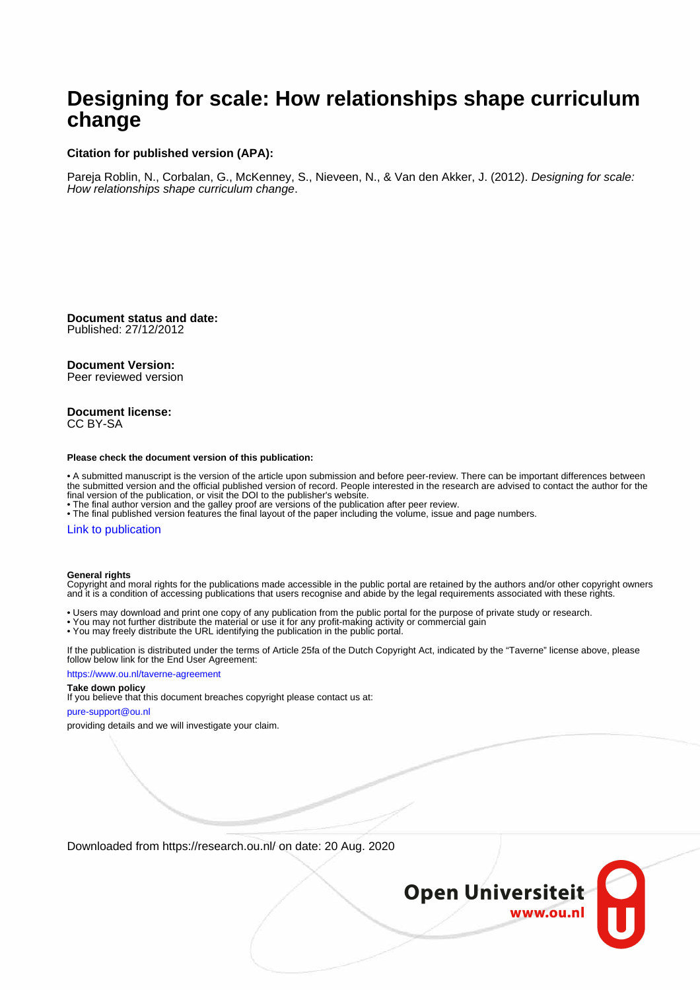#### **Designing for scale: How relationships shape curriculum change**

#### **Citation for published version (APA):**

Pareja Roblin, N., Corbalan, G., McKenney, S., Nieveen, N., & Van den Akker, J. (2012). Designing for scale: How relationships shape curriculum change.

**Document status and date:** Published: 27/12/2012

#### **Document Version:**

Peer reviewed version

#### **Document license:** CC BY-SA

#### **Please check the document version of this publication:**

• A submitted manuscript is the version of the article upon submission and before peer-review. There can be important differences between the submitted version and the official published version of record. People interested in the research are advised to contact the author for the final version of the publication, or visit the DOI to the publisher's website.

• The final author version and the galley proof are versions of the publication after peer review.

• The final published version features the final layout of the paper including the volume, issue and page numbers.

#### [Link to publication](https://research.ou.nl/en/publications/d3cb2794-6498-438d-9d95-b2a1ced0a4f1)

#### **General rights**

Copyright and moral rights for the publications made accessible in the public portal are retained by the authors and/or other copyright owners and it is a condition of accessing publications that users recognise and abide by the legal requirements associated with these rights.

- Users may download and print one copy of any publication from the public portal for the purpose of private study or research.
- You may not further distribute the material or use it for any profit-making activity or commercial gain
- You may freely distribute the URL identifying the publication in the public portal.

If the publication is distributed under the terms of Article 25fa of the Dutch Copyright Act, indicated by the "Taverne" license above, please follow below link for the End User Agreement:

#### https://www.ou.nl/taverne-agreement

#### **Take down policy**

If you believe that this document breaches copyright please contact us at:

#### pure-support@ou.nl

providing details and we will investigate your claim.

Downloaded from https://research.ou.nl/ on date: 20 Aug. 2020

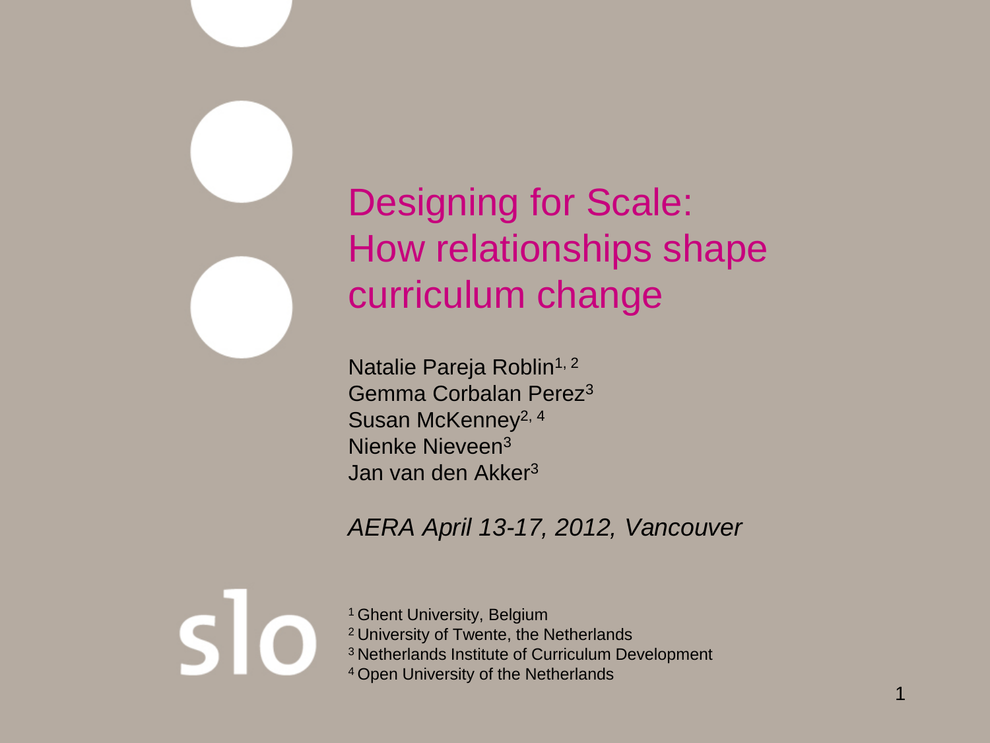

# Designing for Scale: How relationships shape curriculum change

Natalie Pareja Roblin<sup>1, 2</sup> Gemma Corbalan Perez3 Susan McKenney<sup>2, 4</sup> Nienke Nieveen3 Jan van den Akker3

#### *AERA April 13-17, 2012, Vancouver*

<sup>1</sup> Ghent University, Belgium 2 University of Twente, the Netherlands 3 Netherlands Institute of Curriculum Development 4 Open University of the Netherlands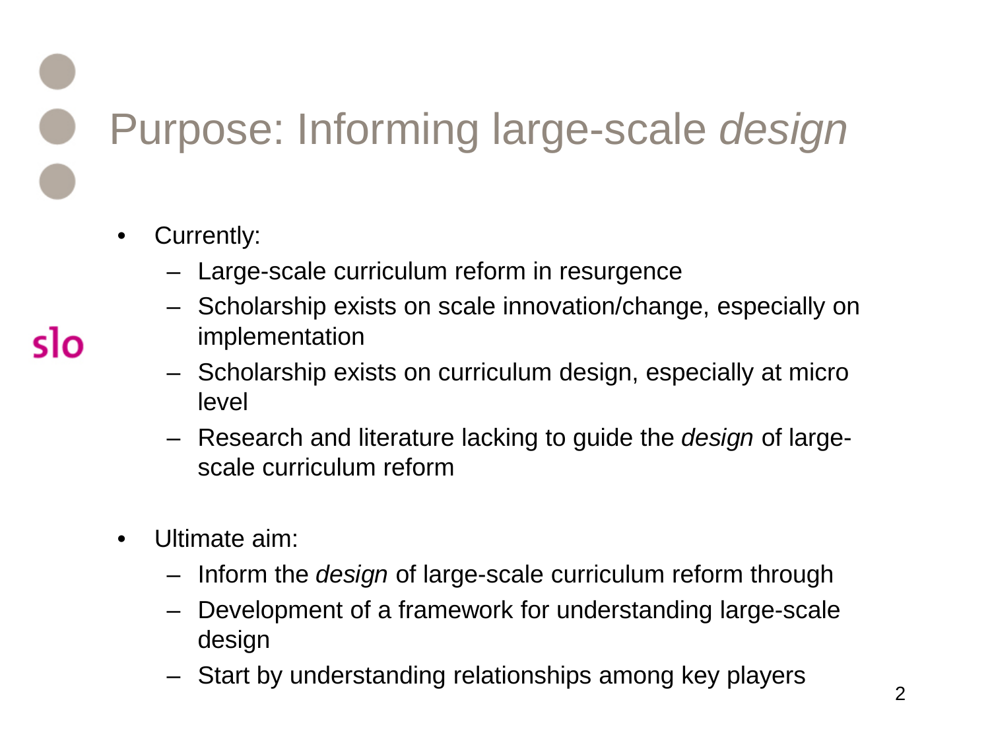Purpose: Informing large-scale *design*

- Currently:
	- Large-scale curriculum reform in resurgence
	- Scholarship exists on scale innovation/change, especially on implementation
	- Scholarship exists on curriculum design, especially at micro level
	- Research and literature lacking to guide the *design* of largescale curriculum reform
- Ultimate aim:
	- Inform the *design* of large-scale curriculum reform through
	- Development of a framework for understanding large-scale design
	- Start by understanding relationships among key players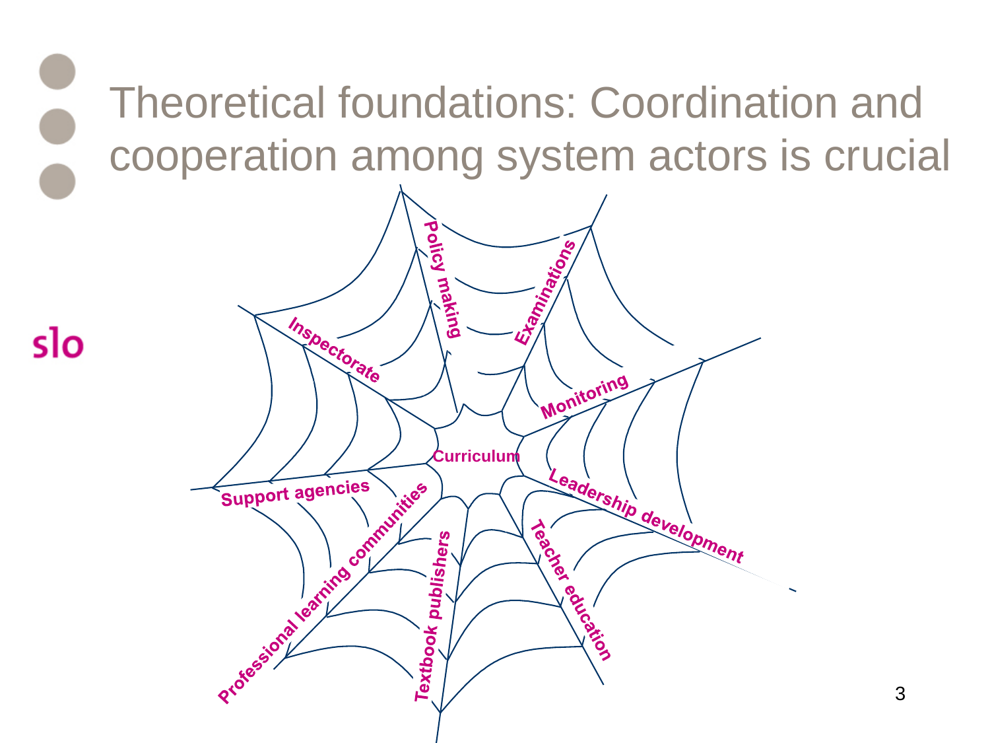Theoretical foundations: Coordination and cooperation among system actors is crucial

slo



3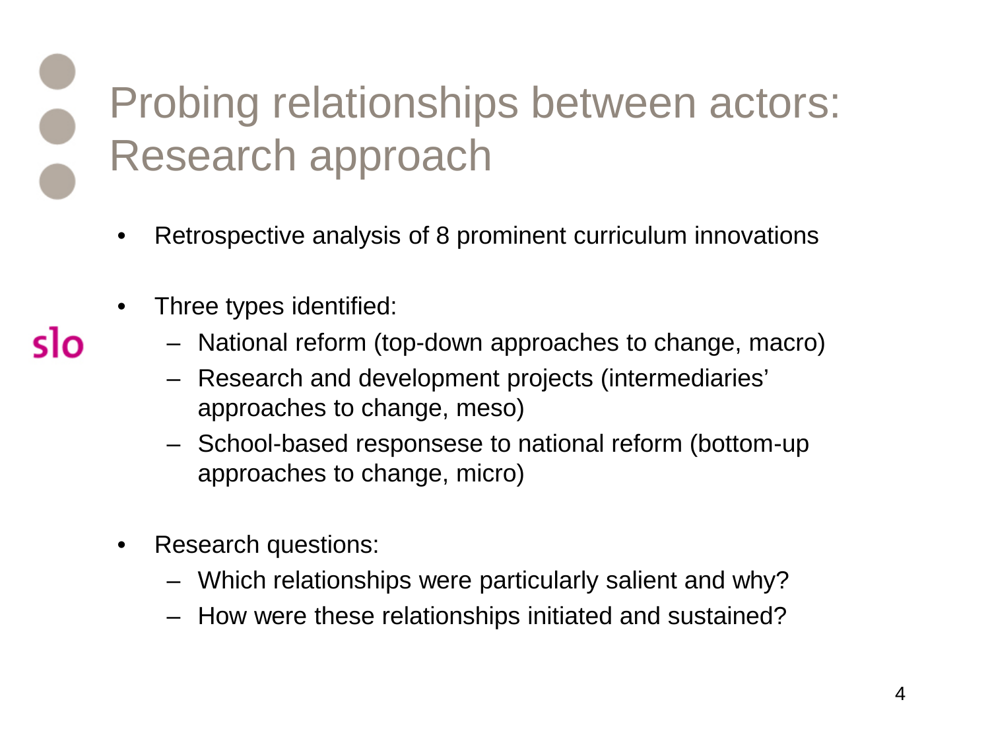### Probing relationships between actors: Research approach

- Retrospective analysis of 8 prominent curriculum innovations
- Three types identified:

sιი

- National reform (top-down approaches to change, macro)
- Research and development projects (intermediaries' approaches to change, meso)
- School-based responsese to national reform (bottom-up approaches to change, micro)
- Research questions:
	- Which relationships were particularly salient and why?
	- How were these relationships initiated and sustained?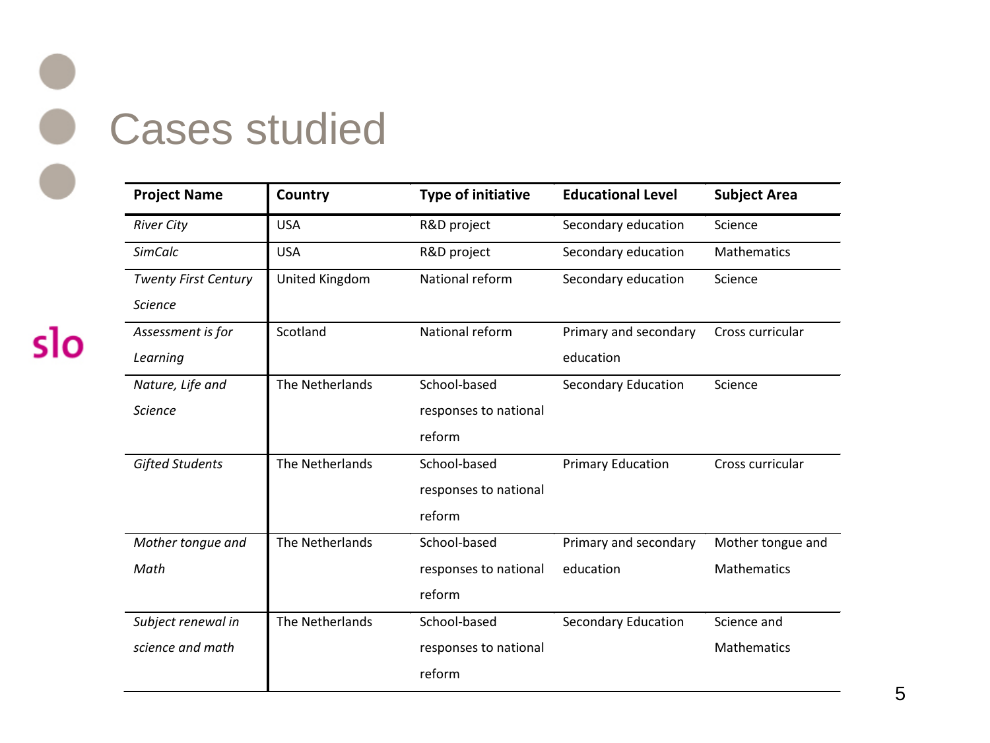# Cases studied

| <b>Project Name</b>         | Country         | <b>Type of initiative</b> | <b>Educational Level</b> | <b>Subject Area</b> |
|-----------------------------|-----------------|---------------------------|--------------------------|---------------------|
| <b>River City</b>           | <b>USA</b>      | R&D project               | Secondary education      | Science             |
| <b>SimCalc</b>              | <b>USA</b>      | R&D project               | Secondary education      | <b>Mathematics</b>  |
| <b>Twenty First Century</b> | United Kingdom  | National reform           | Secondary education      | Science             |
| <b>Science</b>              |                 |                           |                          |                     |
| Assessment is for           | Scotland        | National reform           | Primary and secondary    | Cross curricular    |
| Learning                    |                 |                           | education                |                     |
| Nature, Life and            | The Netherlands | School-based              | Secondary Education      | Science             |
| <b>Science</b>              |                 | responses to national     |                          |                     |
|                             |                 | reform                    |                          |                     |
| <b>Gifted Students</b>      | The Netherlands | School-based              | <b>Primary Education</b> | Cross curricular    |
|                             |                 | responses to national     |                          |                     |
|                             |                 | reform                    |                          |                     |
| Mother tongue and           | The Netherlands | School-based              | Primary and secondary    | Mother tongue and   |
| Math                        |                 | responses to national     | education                | <b>Mathematics</b>  |
|                             |                 | reform                    |                          |                     |
| Subject renewal in          | The Netherlands | School-based              | Secondary Education      | Science and         |
| science and math            |                 | responses to national     |                          | <b>Mathematics</b>  |
|                             |                 | reform                    |                          |                     |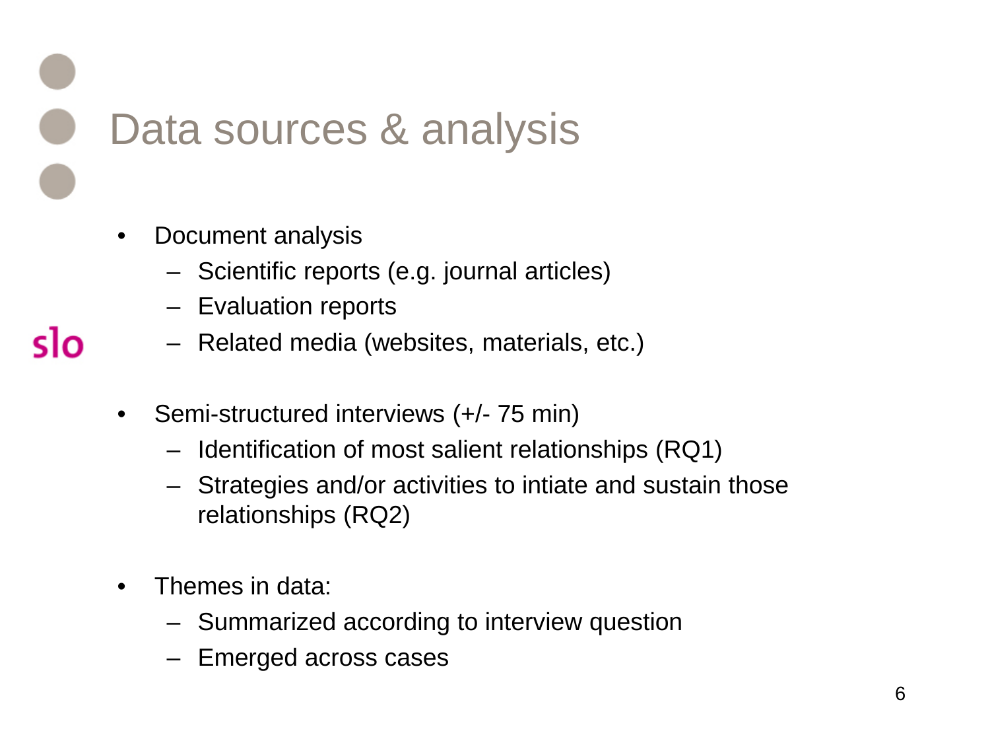Data sources & analysis

• Document analysis

- Scientific reports (e.g. journal articles)
- Evaluation reports
- Related media (websites, materials, etc.)
- Semi-structured interviews (+/- 75 min)
	- Identification of most salient relationships (RQ1)
	- Strategies and/or activities to intiate and sustain those relationships (RQ2)
- Themes in data:
	- Summarized according to interview question
	- Emerged across cases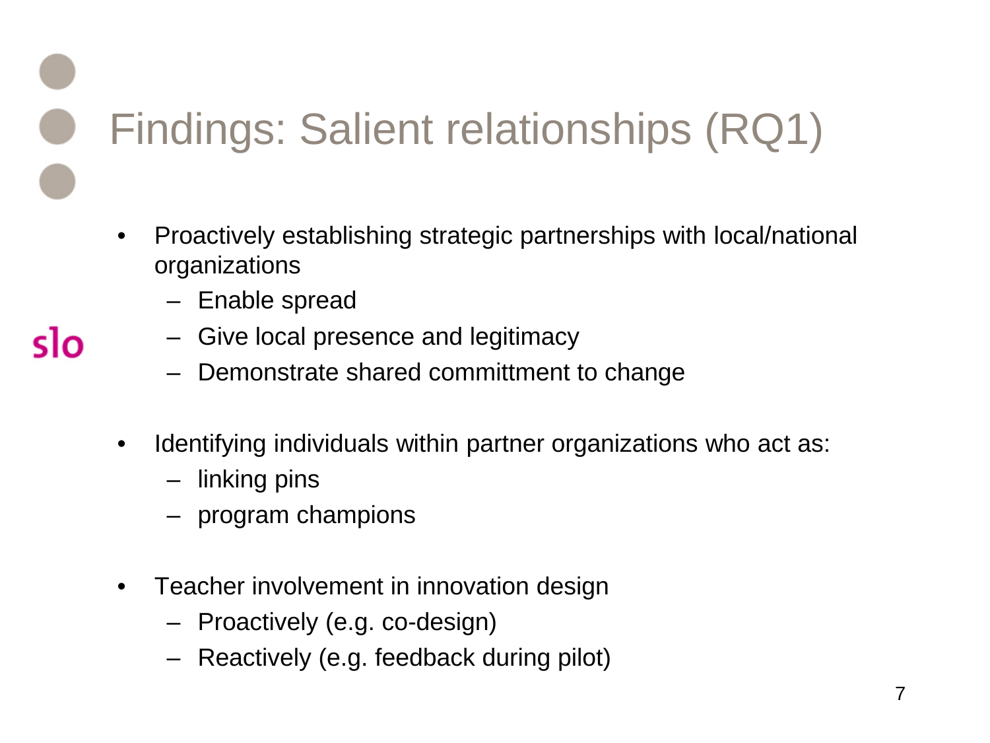Findings: Salient relationships (RQ1)

- Proactively establishing strategic partnerships with local/national organizations
	- Enable spread
	- Give local presence and legitimacy
		- Demonstrate shared committment to change
- Identifying individuals within partner organizations who act as:
	- linking pins
	- program champions
- Teacher involvement in innovation design
	- Proactively (e.g. co-design)
	- Reactively (e.g. feedback during pilot)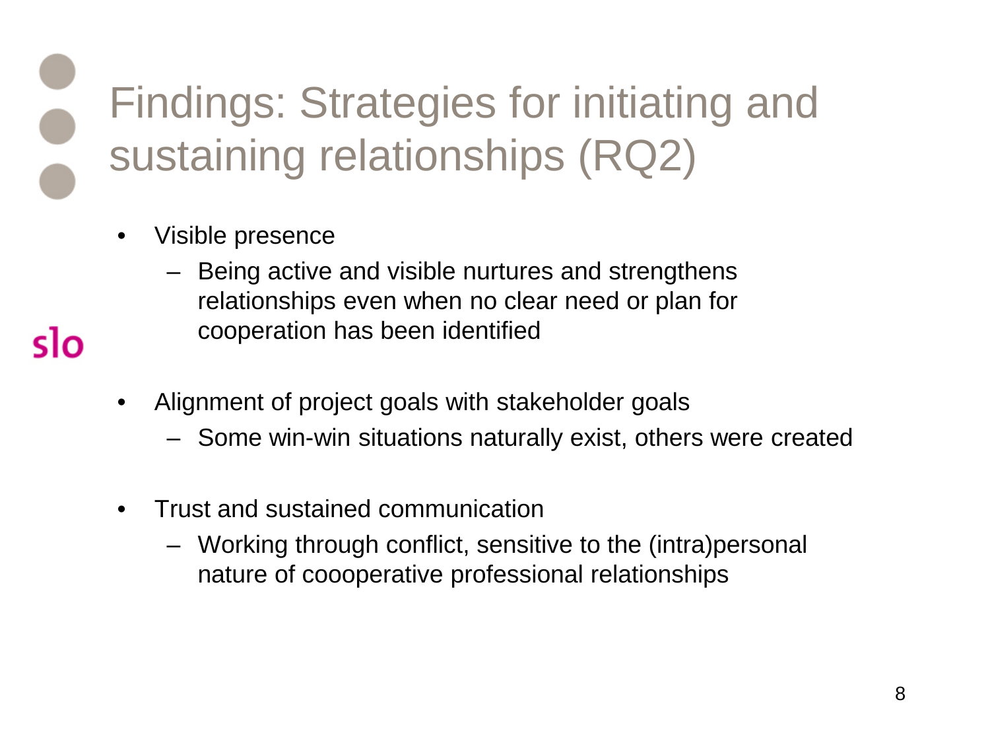Findings: Strategies for initiating and sustaining relationships (RQ2)

- Visible presence
	- Being active and visible nurtures and strengthens relationships even when no clear need or plan for cooperation has been identified
- Alignment of project goals with stakeholder goals
	- Some win-win situations naturally exist, others were created
- Trust and sustained communication
	- Working through conflict, sensitive to the (intra)personal nature of coooperative professional relationships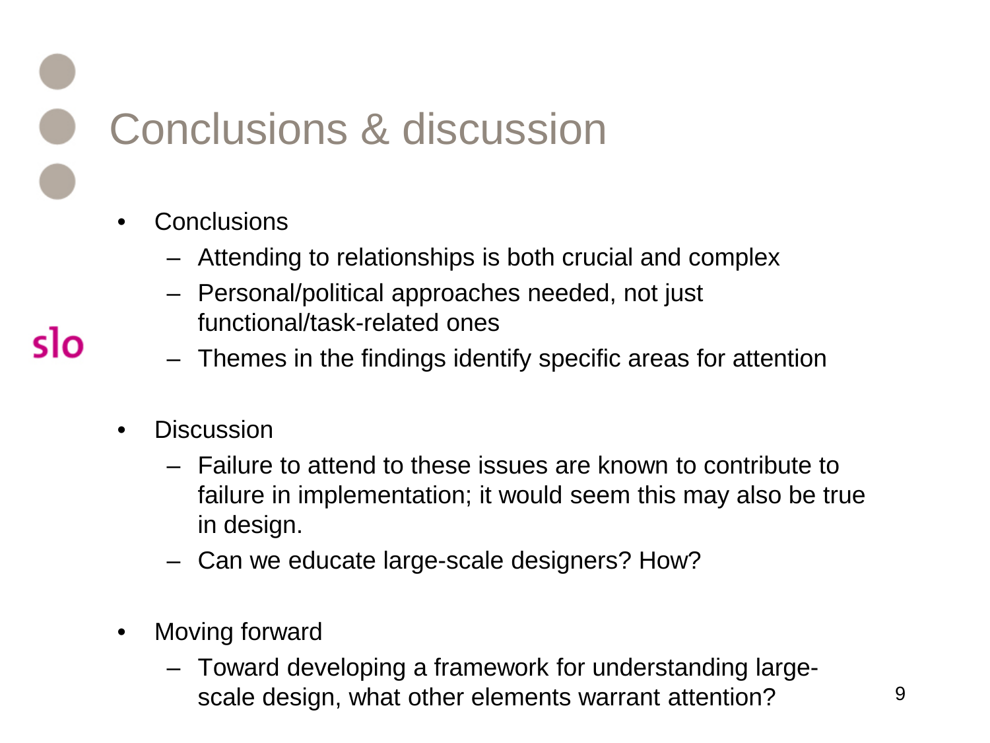Conclusions & discussion

- **Conclusions** 
	- Attending to relationships is both crucial and complex
	- Personal/political approaches needed, not just functional/task-related ones
	- Themes in the findings identify specific areas for attention
- **Discussion**

- Failure to attend to these issues are known to contribute to failure in implementation; it would seem this may also be true in design.
- Can we educate large-scale designers? How?
- Moving forward
	- Toward developing a framework for understanding largescale design, what other elements warrant attention?